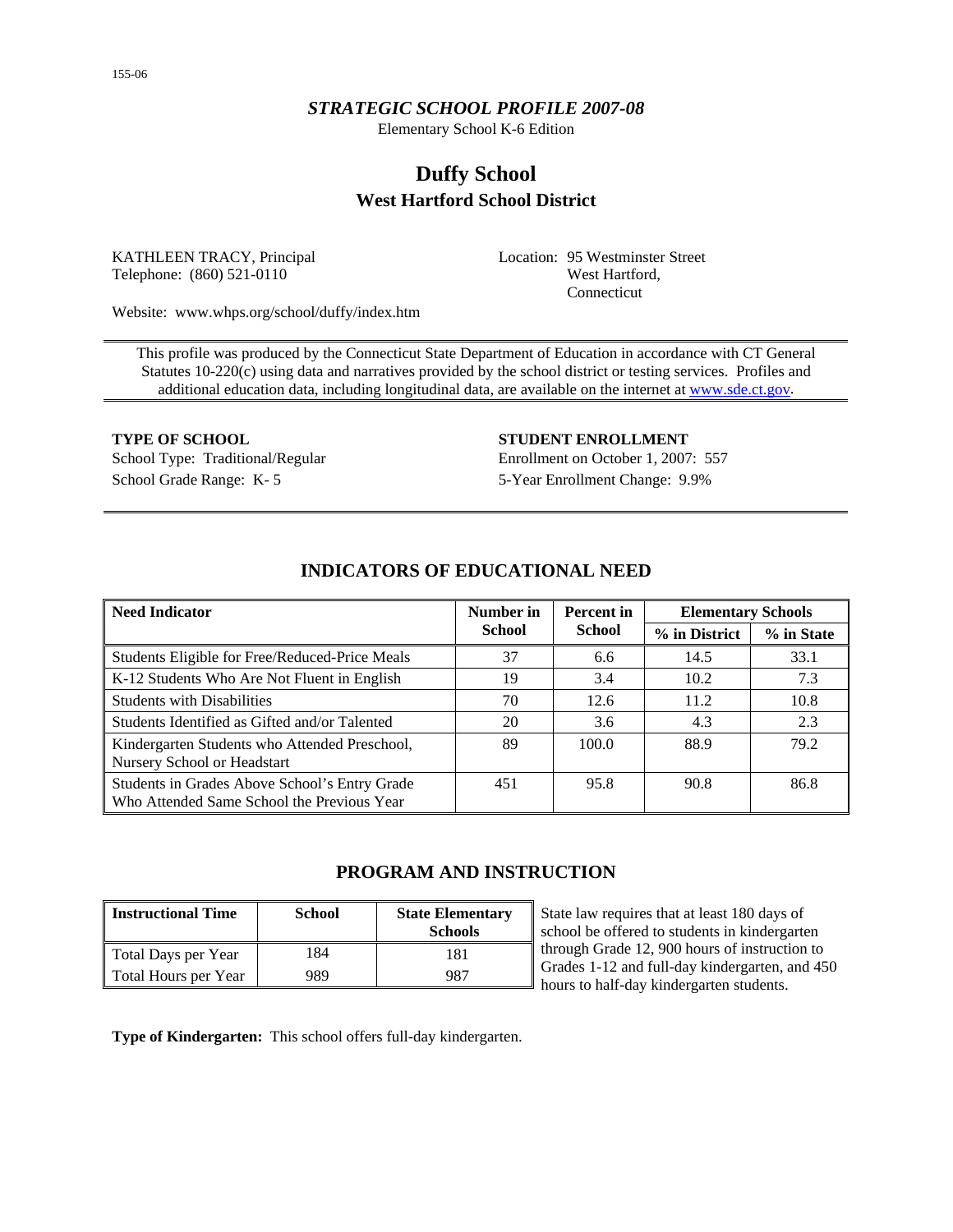## *STRATEGIC SCHOOL PROFILE 2007-08*

Elementary School K-6 Edition

# **Duffy School West Hartford School District**

KATHLEEN TRACY, Principal Telephone: (860) 521-0110

Location: 95 Westminster Street West Hartford, Connecticut

Website: www.whps.org/school/duffy/index.htm

This profile was produced by the Connecticut State Department of Education in accordance with CT General Statutes 10-220(c) using data and narratives provided by the school district or testing services. Profiles and additional education data, including longitudinal data, are available on the internet at [www.sde.ct.gov.](http://www.sde.ct.gov/)

School Grade Range: K- 5 5-Year Enrollment Change: 9.9%

**TYPE OF SCHOOL STUDENT ENROLLMENT** School Type: Traditional/Regular Enrollment on October 1, 2007: 557

| <b>Need Indicator</b>                                                                       | Number in<br>Percent in |               | <b>Elementary Schools</b> |            |  |
|---------------------------------------------------------------------------------------------|-------------------------|---------------|---------------------------|------------|--|
|                                                                                             | School                  | <b>School</b> | % in District             | % in State |  |
| Students Eligible for Free/Reduced-Price Meals                                              | 37                      | 6.6           | 14.5                      | 33.1       |  |
| K-12 Students Who Are Not Fluent in English                                                 | 19                      | 3.4           | 10.2                      | 7.3        |  |
| <b>Students with Disabilities</b>                                                           | 70                      | 12.6          | 11.2                      | 10.8       |  |
| Students Identified as Gifted and/or Talented                                               | 20                      | 3.6           | 4.3                       | 2.3        |  |
| Kindergarten Students who Attended Preschool,<br>Nursery School or Headstart                | 89                      | 100.0         | 88.9                      | 79.2       |  |
| Students in Grades Above School's Entry Grade<br>Who Attended Same School the Previous Year | 451                     | 95.8          | 90.8                      | 86.8       |  |

## **INDICATORS OF EDUCATIONAL NEED**

## **PROGRAM AND INSTRUCTION**

| <b>Instructional Time</b> | <b>School</b> | <b>State Elementary</b><br><b>Schools</b> |
|---------------------------|---------------|-------------------------------------------|
| Total Days per Year       | 184           | 181                                       |
| Total Hours per Year      | 989           | 987                                       |

State law requires that at least 180 days of school be offered to students in kindergarten through Grade 12, 900 hours of instruction to Grades 1-12 and full-day kindergarten, and 450 hours to half-day kindergarten students.

**Type of Kindergarten:** This school offers full-day kindergarten.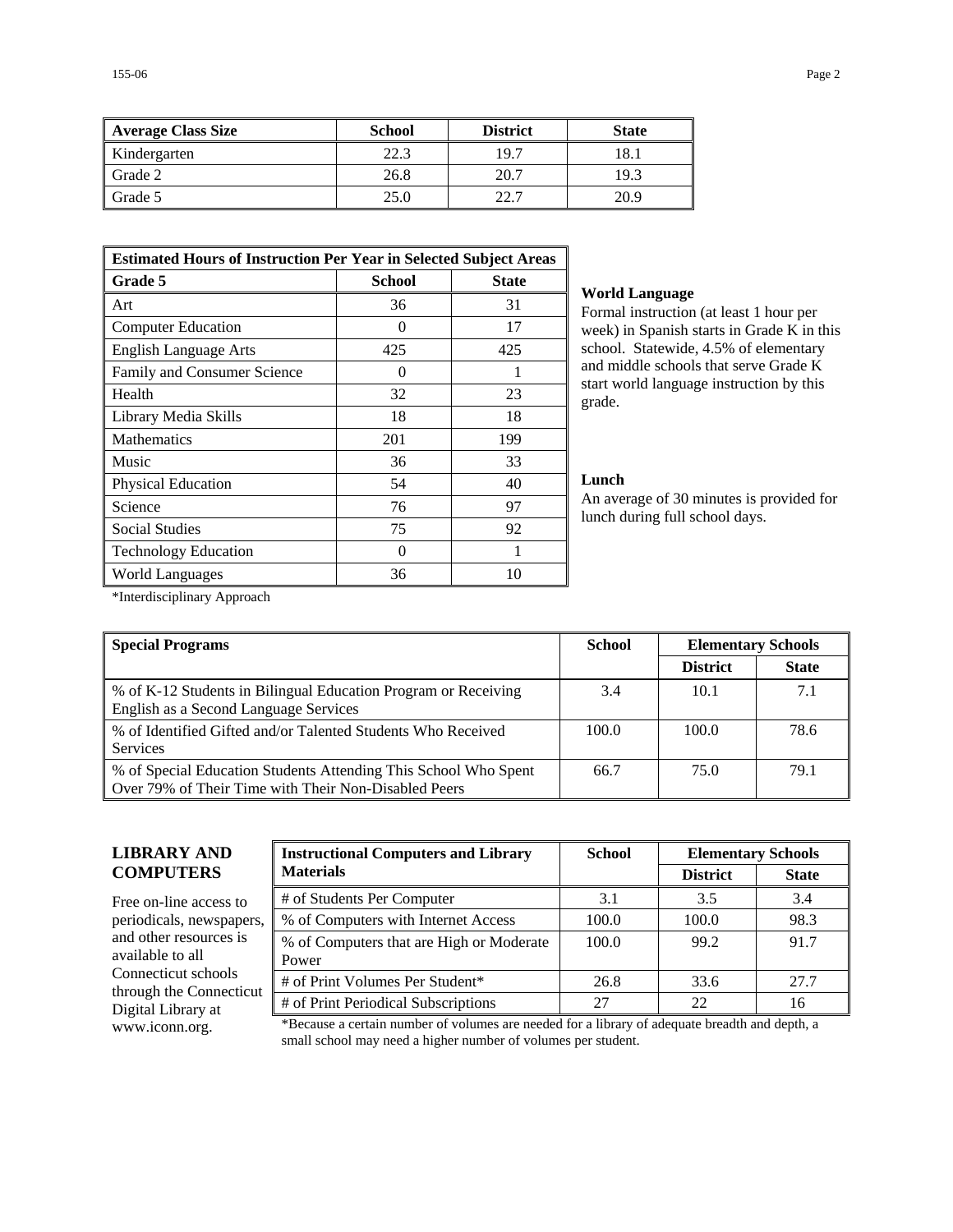| Average Class Size | <b>School</b> | <b>District</b> | <b>State</b> |
|--------------------|---------------|-----------------|--------------|
| Kindergarten       | 22.3          | 19.7            | 18.1         |
| Grade 2            | 26.8          | 20.7            | 19.3         |
| Grade 5            | 25.0          | 22.7            | 20.9         |

| <b>Estimated Hours of Instruction Per Year in Selected Subject Areas</b> |              |     |  |  |  |
|--------------------------------------------------------------------------|--------------|-----|--|--|--|
| Grade 5                                                                  | <b>State</b> |     |  |  |  |
| Art                                                                      | 36           | 31  |  |  |  |
| <b>Computer Education</b>                                                | 0            | 17  |  |  |  |
| <b>English Language Arts</b>                                             | 425          | 425 |  |  |  |
| Family and Consumer Science                                              |              |     |  |  |  |
| Health                                                                   | 32           | 23  |  |  |  |
| Library Media Skills                                                     | 18           | 18  |  |  |  |
| <b>Mathematics</b>                                                       | 201          | 199 |  |  |  |
| Music                                                                    | 36           | 33  |  |  |  |
| Physical Education                                                       | 54           | 40  |  |  |  |
| Science                                                                  | 76           | 97  |  |  |  |
| <b>Social Studies</b>                                                    | 75           | 92  |  |  |  |
| <b>Technology Education</b>                                              | 0            |     |  |  |  |
| World Languages                                                          | 36           | 10  |  |  |  |

#### **World Language**

Formal instruction (at least 1 hour per week) in Spanish starts in Grade K in this school. Statewide, 4.5% of elementary and middle schools that serve Grade K start world language instruction by this grade.

#### **Lunch**

An average of 30 minutes is provided for lunch during full school days.

\*Interdisciplinary Approach

| <b>Special Programs</b>                                                                                                 | <b>School</b> | <b>Elementary Schools</b> |              |
|-------------------------------------------------------------------------------------------------------------------------|---------------|---------------------------|--------------|
|                                                                                                                         |               | <b>District</b>           | <b>State</b> |
| % of K-12 Students in Bilingual Education Program or Receiving<br>English as a Second Language Services                 | 3.4           | 10.1                      | 7.1          |
| % of Identified Gifted and/or Talented Students Who Received<br><b>Services</b>                                         | 100.0         | 100.0                     | 78.6         |
| % of Special Education Students Attending This School Who Spent<br>Over 79% of Their Time with Their Non-Disabled Peers | 66.7          | 75.0                      | 79.1         |

## **LIBRARY AND COMPUTERS**

Free on-line access to periodicals, newspapers, and other resources is available to all Connecticut schools through the Connecticut Digital Library at

| <b>Instructional Computers and Library</b>        | <b>School</b> | <b>Elementary Schools</b> |              |  |
|---------------------------------------------------|---------------|---------------------------|--------------|--|
| <b>Materials</b>                                  |               | <b>District</b>           | <b>State</b> |  |
| # of Students Per Computer                        | 3.1           | 3.5                       | 3.4          |  |
| % of Computers with Internet Access               | 100.0         | 100.0                     | 98.3         |  |
| % of Computers that are High or Moderate<br>Power | 100.0         | 99.2                      | 91.7         |  |
| # of Print Volumes Per Student*                   | 26.8          | 33.6                      | 27.7         |  |
| # of Print Periodical Subscriptions               | 27            | 22                        | 16           |  |

www.iconn.org. \*Because a certain number of volumes are needed for a library of adequate breadth and depth, a small school may need a higher number of volumes per student.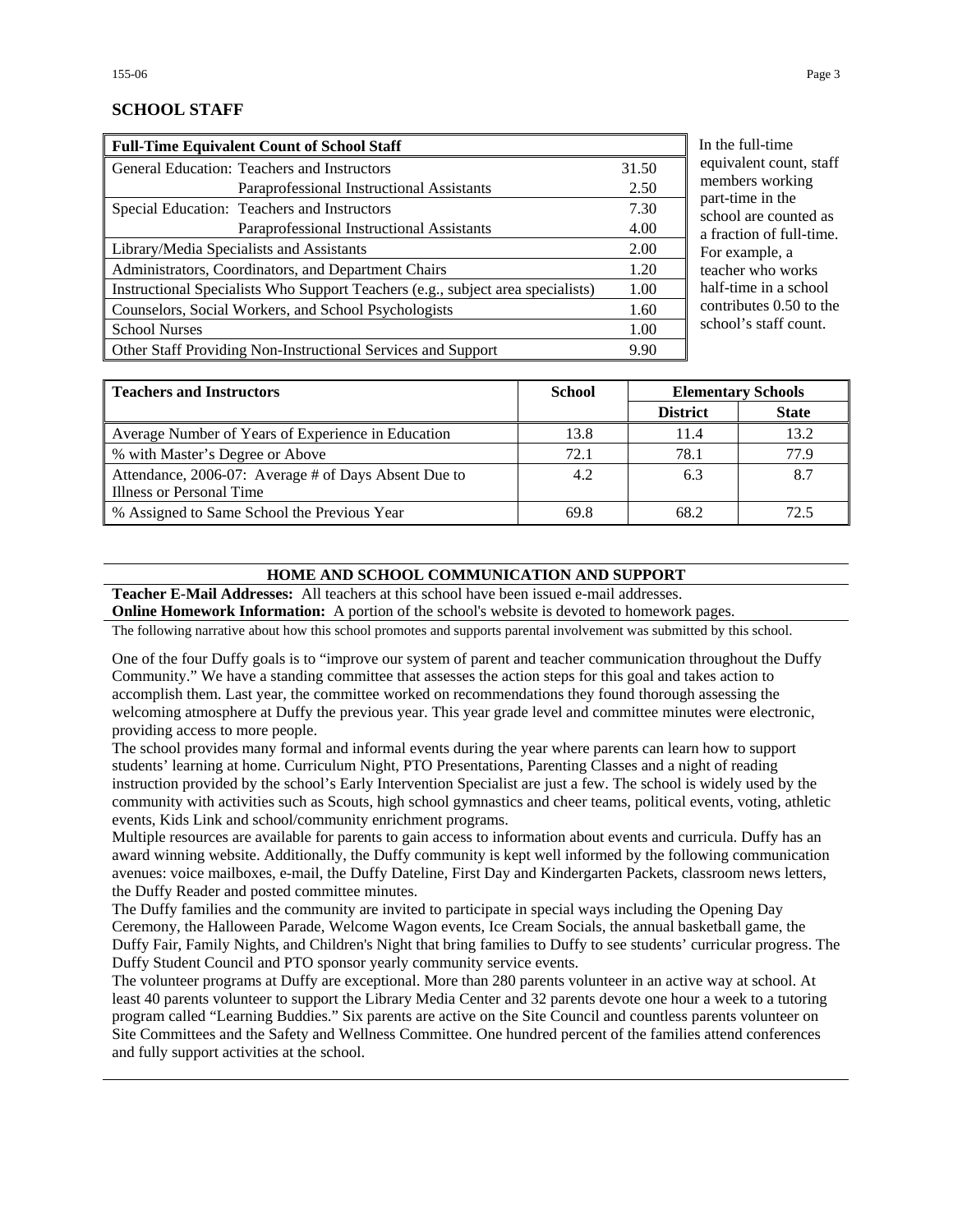## **SCHOOL STAFF**

| <b>Full-Time Equivalent Count of School Staff</b>                               |       |
|---------------------------------------------------------------------------------|-------|
| General Education: Teachers and Instructors                                     | 31.50 |
| Paraprofessional Instructional Assistants                                       | 2.50  |
| Special Education: Teachers and Instructors                                     | 7.30  |
| Paraprofessional Instructional Assistants                                       | 4.00  |
| Library/Media Specialists and Assistants                                        | 2.00  |
| Administrators, Coordinators, and Department Chairs                             | 1.20  |
| Instructional Specialists Who Support Teachers (e.g., subject area specialists) | 1.00  |
| Counselors, Social Workers, and School Psychologists                            | 1.60  |
| <b>School Nurses</b>                                                            | 1.00  |
| Other Staff Providing Non-Instructional Services and Support                    | 9.90  |

the full-time uivalent count, staff embers working rt-time in the hool are counted as fraction of full-time. or example, a acher who works delectime in a school ntributes  $0.50$  to the hool's staff count.

| <b>Teachers and Instructors</b>                      | <b>School</b> | <b>Elementary Schools</b> |              |
|------------------------------------------------------|---------------|---------------------------|--------------|
|                                                      |               | <b>District</b>           | <b>State</b> |
| Average Number of Years of Experience in Education   | 13.8          | 11.4                      | 13.2         |
| % with Master's Degree or Above                      | 72.1          | 78.1                      | 77.9         |
| Attendance, 2006-07: Average # of Days Absent Due to | 4.2           | 6.3                       | 8.7          |
| Illness or Personal Time                             |               |                           |              |
| % Assigned to Same School the Previous Year          | 69.8          | 68.2                      | 72.5         |

#### **HOME AND SCHOOL COMMUNICATION AND SUPPORT**

**Teacher E-Mail Addresses:** All teachers at this school have been issued e-mail addresses.

**Online Homework Information:** A portion of the school's website is devoted to homework pages.

The following narrative about how this school promotes and supports parental involvement was submitted by this school.

One of the four Duffy goals is to "improve our system of parent and teacher communication throughout the Duffy Community." We have a standing committee that assesses the action steps for this goal and takes action to accomplish them. Last year, the committee worked on recommendations they found thorough assessing the welcoming atmosphere at Duffy the previous year. This year grade level and committee minutes were electronic, providing access to more people.

The school provides many formal and informal events during the year where parents can learn how to support students' learning at home. Curriculum Night, PTO Presentations, Parenting Classes and a night of reading instruction provided by the school's Early Intervention Specialist are just a few. The school is widely used by the community with activities such as Scouts, high school gymnastics and cheer teams, political events, voting, athletic events, Kids Link and school/community enrichment programs.

Multiple resources are available for parents to gain access to information about events and curricula. Duffy has an award winning website. Additionally, the Duffy community is kept well informed by the following communication avenues: voice mailboxes, e-mail, the Duffy Dateline, First Day and Kindergarten Packets, classroom news letters, the Duffy Reader and posted committee minutes.

The Duffy families and the community are invited to participate in special ways including the Opening Day Ceremony, the Halloween Parade, Welcome Wagon events, Ice Cream Socials, the annual basketball game, the Duffy Fair, Family Nights, and Children's Night that bring families to Duffy to see students' curricular progress. The Duffy Student Council and PTO sponsor yearly community service events.

The volunteer programs at Duffy are exceptional. More than 280 parents volunteer in an active way at school. At least 40 parents volunteer to support the Library Media Center and 32 parents devote one hour a week to a tutoring program called "Learning Buddies." Six parents are active on the Site Council and countless parents volunteer on Site Committees and the Safety and Wellness Committee. One hundred percent of the families attend conferences and fully support activities at the school.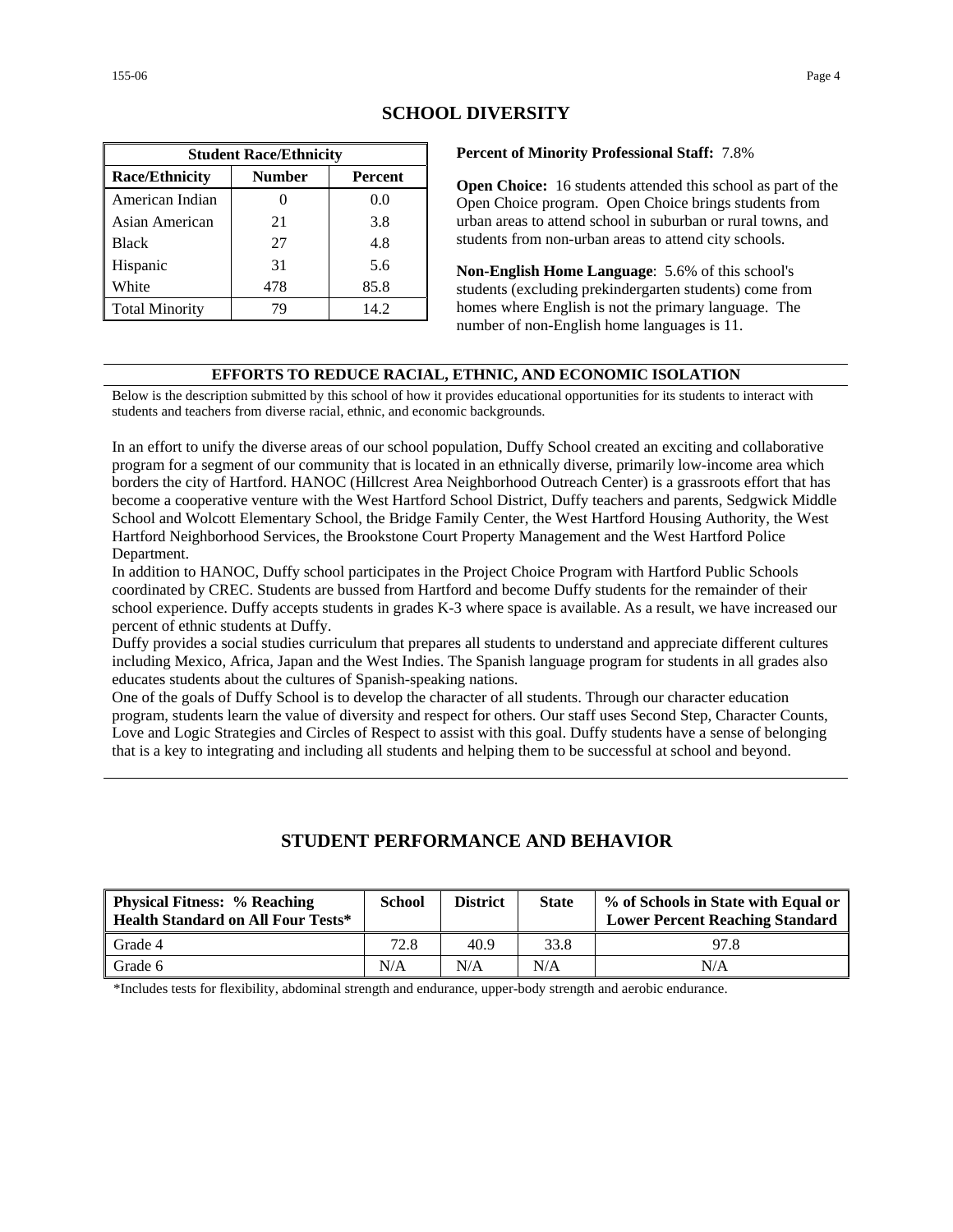| <b>Student Race/Ethnicity</b>                     |     |      |  |  |  |
|---------------------------------------------------|-----|------|--|--|--|
| <b>Number</b><br><b>Race/Ethnicity</b><br>Percent |     |      |  |  |  |
| American Indian                                   |     | 0.0  |  |  |  |
| Asian American                                    | 21  | 3.8  |  |  |  |
| <b>Black</b>                                      | 27  | 4.8  |  |  |  |
| Hispanic                                          | 31  | 5.6  |  |  |  |
| White                                             | 478 | 85.8 |  |  |  |
| <b>Total Minority</b>                             | 79  | 14.2 |  |  |  |

## **SCHOOL DIVERSITY**

**Percent of Minority Professional Staff:** 7.8%

**Open Choice:** 16 students attended this school as part of the Open Choice program. Open Choice brings students from urban areas to attend school in suburban or rural towns, and students from non-urban areas to attend city schools.

**Non-English Home Language**: 5.6% of this school's students (excluding prekindergarten students) come from homes where English is not the primary language. The number of non-English home languages is 11.

#### **EFFORTS TO REDUCE RACIAL, ETHNIC, AND ECONOMIC ISOLATION**

Below is the description submitted by this school of how it provides educational opportunities for its students to interact with students and teachers from diverse racial, ethnic, and economic backgrounds.

In an effort to unify the diverse areas of our school population, Duffy School created an exciting and collaborative program for a segment of our community that is located in an ethnically diverse, primarily low-income area which borders the city of Hartford. HANOC (Hillcrest Area Neighborhood Outreach Center) is a grassroots effort that has become a cooperative venture with the West Hartford School District, Duffy teachers and parents, Sedgwick Middle School and Wolcott Elementary School, the Bridge Family Center, the West Hartford Housing Authority, the West Hartford Neighborhood Services, the Brookstone Court Property Management and the West Hartford Police Department.

In addition to HANOC, Duffy school participates in the Project Choice Program with Hartford Public Schools coordinated by CREC. Students are bussed from Hartford and become Duffy students for the remainder of their school experience. Duffy accepts students in grades K-3 where space is available. As a result, we have increased our percent of ethnic students at Duffy.

Duffy provides a social studies curriculum that prepares all students to understand and appreciate different cultures including Mexico, Africa, Japan and the West Indies. The Spanish language program for students in all grades also educates students about the cultures of Spanish-speaking nations.

One of the goals of Duffy School is to develop the character of all students. Through our character education program, students learn the value of diversity and respect for others. Our staff uses Second Step, Character Counts, Love and Logic Strategies and Circles of Respect to assist with this goal. Duffy students have a sense of belonging that is a key to integrating and including all students and helping them to be successful at school and beyond.

## **STUDENT PERFORMANCE AND BEHAVIOR**

| <b>Physical Fitness: % Reaching</b><br><b>Health Standard on All Four Tests*</b> | <b>School</b> | <b>District</b> | <b>State</b> | % of Schools in State with Equal or<br><b>Lower Percent Reaching Standard</b> |
|----------------------------------------------------------------------------------|---------------|-----------------|--------------|-------------------------------------------------------------------------------|
| Grade 4                                                                          | 72.8          | 40.9            | 33.8         | 97.8                                                                          |
| Grade 6                                                                          | N/A           | N/A             | N/A          | N/A                                                                           |

\*Includes tests for flexibility, abdominal strength and endurance, upper-body strength and aerobic endurance.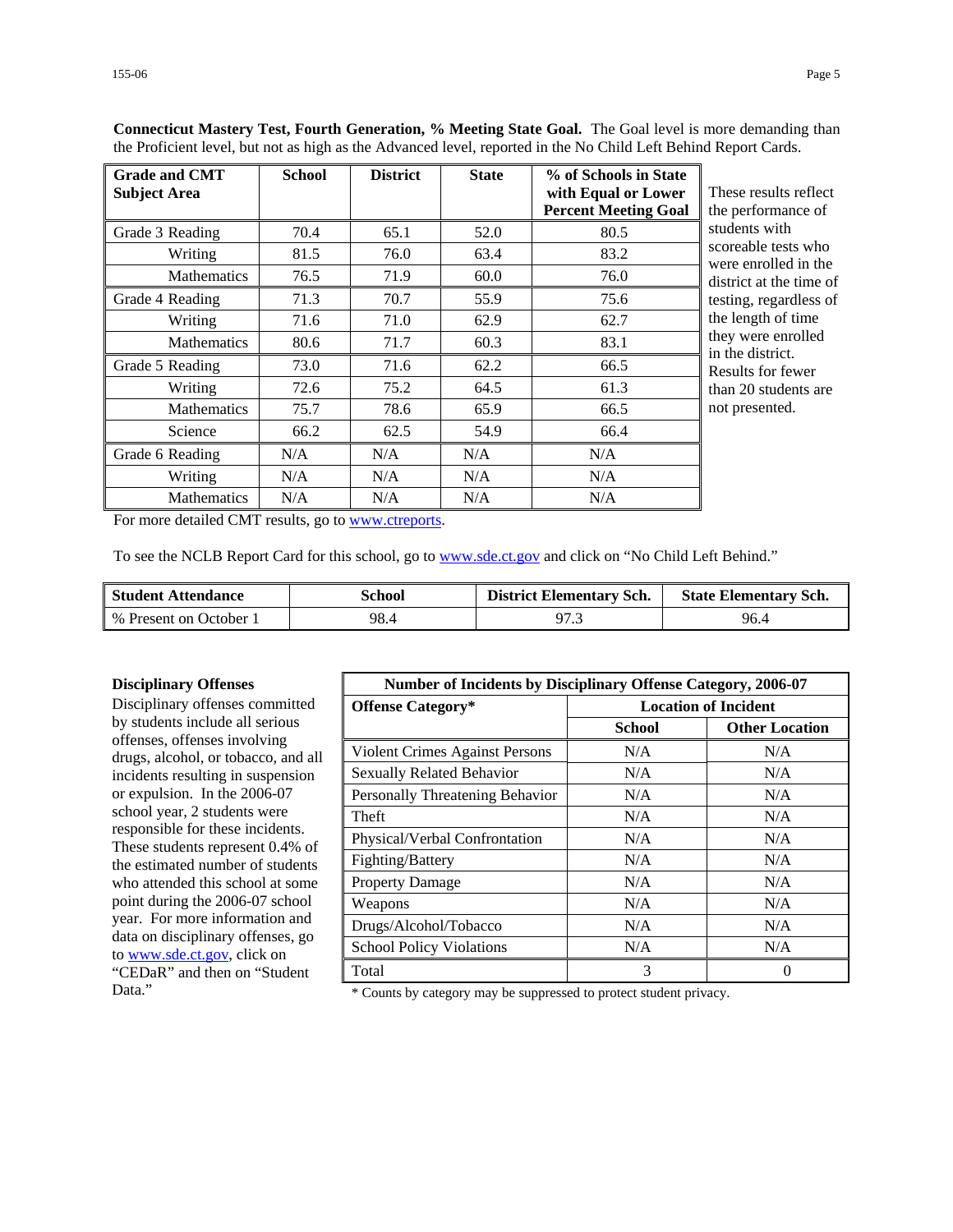| <b>Grade and CMT</b><br><b>Subject Area</b> | <b>School</b> | <b>District</b> | <b>State</b> | % of Schools in State<br>with Equal or Lower<br><b>Percent Meeting Goal</b> | These results reflect<br>the performance of |
|---------------------------------------------|---------------|-----------------|--------------|-----------------------------------------------------------------------------|---------------------------------------------|
| Grade 3 Reading                             | 70.4          | 65.1            | 52.0         | 80.5                                                                        | students with                               |
| Writing                                     | 81.5          | 76.0            | 63.4         | 83.2                                                                        | scoreable tests who<br>were enrolled in the |
| <b>Mathematics</b>                          | 76.5          | 71.9            | 60.0         | 76.0                                                                        | district at the time of                     |
| Grade 4 Reading                             | 71.3          | 70.7            | 55.9         | 75.6                                                                        | testing, regardless of                      |
| Writing                                     | 71.6          | 71.0            | 62.9         | 62.7                                                                        | the length of time                          |
| <b>Mathematics</b>                          | 80.6          | 71.7            | 60.3         | 83.1                                                                        | they were enrolled<br>in the district.      |
| Grade 5 Reading                             | 73.0          | 71.6            | 62.2         | 66.5                                                                        | Results for fewer                           |
| Writing                                     | 72.6          | 75.2            | 64.5         | 61.3                                                                        | than 20 students are                        |
| <b>Mathematics</b>                          | 75.7          | 78.6            | 65.9         | 66.5                                                                        | not presented.                              |
| Science                                     | 66.2          | 62.5            | 54.9         | 66.4                                                                        |                                             |
| Grade 6 Reading                             | N/A           | N/A             | N/A          | N/A                                                                         |                                             |
| Writing                                     | N/A           | N/A             | N/A          | N/A                                                                         |                                             |
| <b>Mathematics</b>                          | N/A           | N/A             | N/A          | N/A                                                                         |                                             |

**Connecticut Mastery Test, Fourth Generation, % Meeting State Goal.** The Goal level is more demanding than the Proficient level, but not as high as the Advanced level, reported in the No Child Left Behind Report Cards.

For more detailed CMT results, go to [www.ctreports.](http://www.ctreports/)

To see the NCLB Report Card for this school, go to [www.sde.ct.gov](http://www.sde.ct.gov/) and click on "No Child Left Behind."

| <b>Student Attendance</b> | School | <b>District Elementary Sch.</b> | <b>State Elementary Sch.</b> |
|---------------------------|--------|---------------------------------|------------------------------|
| % Present on October 1    | 98.4   | 97.3                            | 96.4                         |

#### **Disciplinary Offenses**

Disciplinary offenses committed by students include all serious offenses, offenses involving drugs, alcohol, or tobacco, and all incidents resulting in suspension or expulsion. In the 2006-07 school year, 2 students were responsible for these incidents. These students represent 0.4% of the estimated number of students who attended this school at some point during the 2006-07 school year. For more information and data on disciplinary offenses, go to [www.sde.ct.gov](http://www.sde.ct.gov/), click on "CEDaR" and then on "Student

| <b>Number of Incidents by Disciplinary Offense Category, 2006-07</b> |                             |                       |
|----------------------------------------------------------------------|-----------------------------|-----------------------|
| <b>Offense Category*</b>                                             | <b>Location of Incident</b> |                       |
|                                                                      | <b>School</b>               | <b>Other Location</b> |
| <b>Violent Crimes Against Persons</b>                                | N/A                         | N/A                   |
| <b>Sexually Related Behavior</b>                                     | N/A                         | N/A                   |
| Personally Threatening Behavior                                      | N/A                         | N/A                   |
| Theft                                                                | N/A                         | N/A                   |
| Physical/Verbal Confrontation                                        | N/A                         | N/A                   |
| Fighting/Battery                                                     | N/A                         | N/A                   |
| <b>Property Damage</b>                                               | N/A                         | N/A                   |
| Weapons                                                              | N/A                         | N/A                   |
| Drugs/Alcohol/Tobacco                                                | N/A                         | N/A                   |
| <b>School Policy Violations</b>                                      | N/A                         | N/A                   |
| Total                                                                | 3                           | $\theta$              |

Data." \* Counts by category may be suppressed to protect student privacy.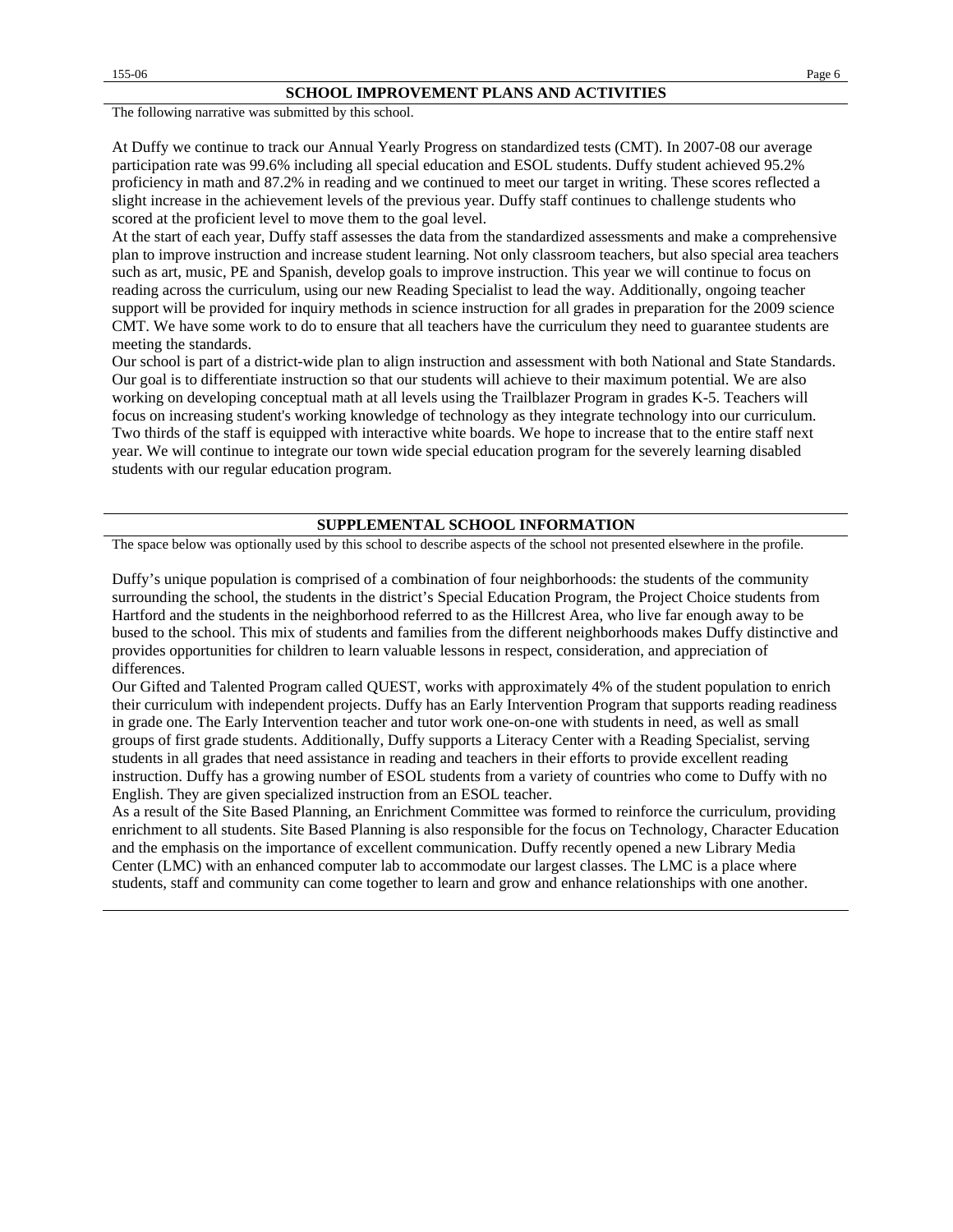The following narrative was submitted by this school.

At Duffy we continue to track our Annual Yearly Progress on standardized tests (CMT). In 2007-08 our average participation rate was 99.6% including all special education and ESOL students. Duffy student achieved 95.2% proficiency in math and 87.2% in reading and we continued to meet our target in writing. These scores reflected a slight increase in the achievement levels of the previous year. Duffy staff continues to challenge students who scored at the proficient level to move them to the goal level.

At the start of each year, Duffy staff assesses the data from the standardized assessments and make a comprehensive plan to improve instruction and increase student learning. Not only classroom teachers, but also special area teachers such as art, music, PE and Spanish, develop goals to improve instruction. This year we will continue to focus on reading across the curriculum, using our new Reading Specialist to lead the way. Additionally, ongoing teacher support will be provided for inquiry methods in science instruction for all grades in preparation for the 2009 science CMT. We have some work to do to ensure that all teachers have the curriculum they need to guarantee students are meeting the standards.

Our school is part of a district-wide plan to align instruction and assessment with both National and State Standards. Our goal is to differentiate instruction so that our students will achieve to their maximum potential. We are also working on developing conceptual math at all levels using the Trailblazer Program in grades K-5. Teachers will focus on increasing student's working knowledge of technology as they integrate technology into our curriculum. Two thirds of the staff is equipped with interactive white boards. We hope to increase that to the entire staff next year. We will continue to integrate our town wide special education program for the severely learning disabled students with our regular education program.

#### **SUPPLEMENTAL SCHOOL INFORMATION**

The space below was optionally used by this school to describe aspects of the school not presented elsewhere in the profile.

Duffy's unique population is comprised of a combination of four neighborhoods: the students of the community surrounding the school, the students in the district's Special Education Program, the Project Choice students from Hartford and the students in the neighborhood referred to as the Hillcrest Area, who live far enough away to be bused to the school. This mix of students and families from the different neighborhoods makes Duffy distinctive and provides opportunities for children to learn valuable lessons in respect, consideration, and appreciation of differences.

Our Gifted and Talented Program called QUEST, works with approximately 4% of the student population to enrich their curriculum with independent projects. Duffy has an Early Intervention Program that supports reading readiness in grade one. The Early Intervention teacher and tutor work one-on-one with students in need, as well as small groups of first grade students. Additionally, Duffy supports a Literacy Center with a Reading Specialist, serving students in all grades that need assistance in reading and teachers in their efforts to provide excellent reading instruction. Duffy has a growing number of ESOL students from a variety of countries who come to Duffy with no English. They are given specialized instruction from an ESOL teacher.

As a result of the Site Based Planning, an Enrichment Committee was formed to reinforce the curriculum, providing enrichment to all students. Site Based Planning is also responsible for the focus on Technology, Character Education and the emphasis on the importance of excellent communication. Duffy recently opened a new Library Media Center (LMC) with an enhanced computer lab to accommodate our largest classes. The LMC is a place where students, staff and community can come together to learn and grow and enhance relationships with one another.